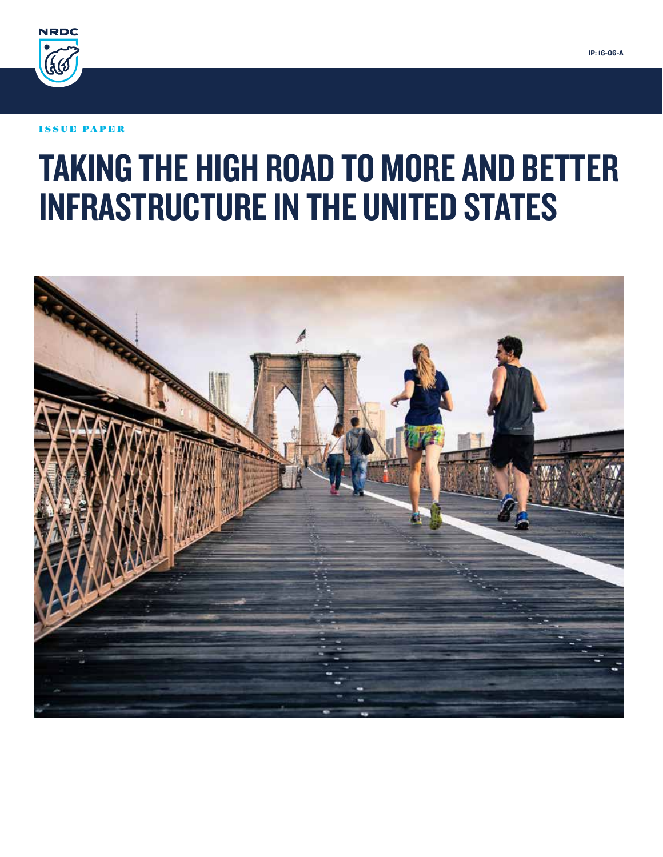

#### ISSUE PAPER

# TAKING THE HIGH ROAD TO MORE AND BETTER INFRASTRUCTURE IN THE UNITED STATES

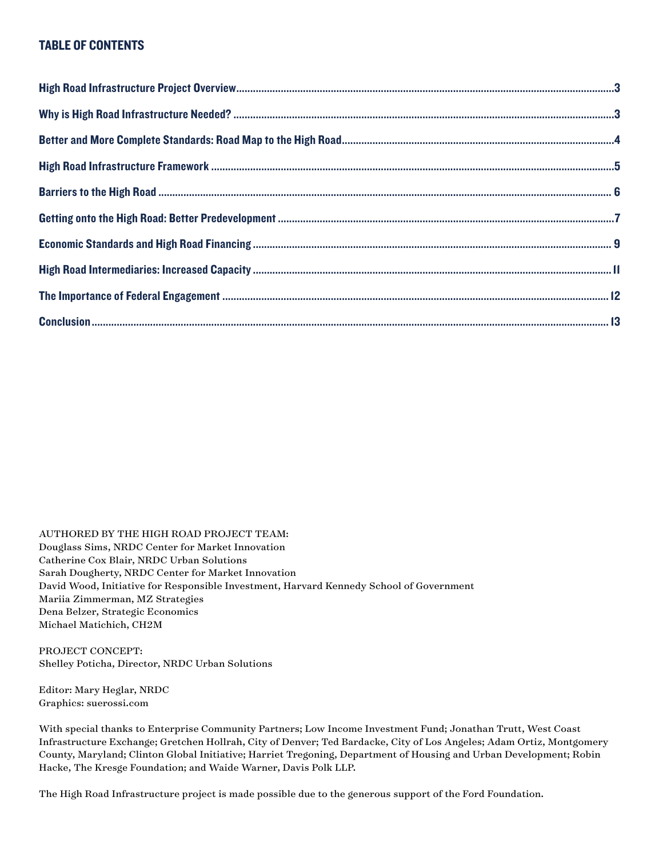#### TABLE OF CONTENTS

AUTHORED BY THE HIGH ROAD PROJECT TEAM: Douglass Sims, NRDC Center for Market Innovation Catherine Cox Blair, NRDC Urban Solutions Sarah Dougherty, NRDC Center for Market Innovation David Wood, Initiative for Responsible Investment, Harvard Kennedy School of Government Mariia Zimmerman, MZ Strategies Dena Belzer, Strategic Economics Michael Matichich, CH2M

PROJECT CONCEPT: Shelley Poticha, Director, NRDC Urban Solutions

Editor: Mary Heglar, NRDC Graphics: suerossi.com

With special thanks to Enterprise Community Partners; Low Income Investment Fund; Jonathan Trutt, West Coast Infrastructure Exchange; Gretchen Hollrah, City of Denver; Ted Bardacke, City of Los Angeles; Adam Ortiz, Montgomery County, Maryland; Clinton Global Initiative; Harriet Tregoning, Department of Housing and Urban Development; Robin Hacke, The Kresge Foundation; and Waide Warner, Davis Polk LLP.

The High Road Infrastructure project is made possible due to the generous support of the Ford Foundation.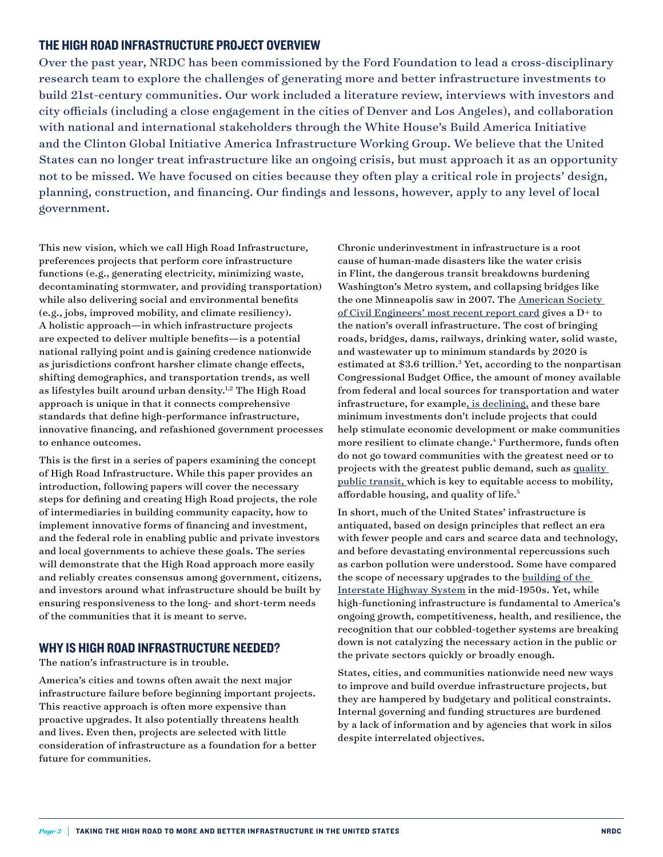#### THE HIGH ROAD INFRASTRUCTURE PROJECT OVERVIEW

Over the past year, NRDC has been commissioned by the Ford Foundation to lead a cross-disciplinary research team to explore the challenges of generating more and better infrastructure investments to build 21st-century communities. Our work included a literature review, interviews with investors and city officials (including a close engagement in the cities of Denver and Los Angeles), and collaboration with national and international stakeholders through the White House's Build America Initiative and the Clinton Global Initiative America Infrastructure Working Group. We believe that the United States can no longer treat infrastructure like an ongoing crisis, but must approach it as an opportunity not to be missed. We have focused on cities because they often play a critical role in projects' design, planning, construction, and financing. Our findings and lessons, however, apply to any level of local government.

This new vision, which we call High Road Infrastructure, preferences projects that perform core infrastructure functions (e.g., generating electricity, minimizing waste, decontaminating stormwater, and providing transportation) while also delivering social and environmental benefits (e.g., jobs, improved mobility, and climate resiliency). A holistic approach—in which infrastructure projects are expected to deliver multiple benefits—is a potential national rallying point and is gaining credence nationwide as jurisdictions confront harsher climate change effects, shifting demographics, and transportation trends, as well as lifestyles built around urban density.<sup>1,2</sup> The High Road approach is unique in that it connects comprehensive standards that define high-performance infrastructure, innovative financing, and refashioned government processes to enhance outcomes.

This is the first in a series of papers examining the concept of High Road Infrastructure. While this paper provides an introduction, following papers will cover the necessary steps for defining and creating High Road projects, the role of intermediaries in building community capacity, how to implement innovative forms of financing and investment, and the federal role in enabling public and private investors and local governments to achieve these goals. The series will demonstrate that the High Road approach more easily and reliably creates consensus among government, citizens, and investors around what infrastructure should be built by ensuring responsiveness to the long- and short-term needs of the communities that it is meant to serve.

#### WHY IS HIGH ROAD INFRASTRUCTURE NEEDED?

The nation's infrastructure is in trouble.

America's cities and towns often await the next major infrastructure failure before beginning important projects. This reactive approach is often more expensive than proactive upgrades. It also potentially threatens health and lives. Even then, projects are selected with little consideration of infrastructure as a foundation for a better future for communities.

Chronic underinvestment in infrastructure is a root cause of human-made disasters like the water crisis in Flint, the dangerous transit breakdowns burdening Washington's Metro system, and collapsing bridges like the one Minneapolis saw in 2007. The [American Society](http://www.infrastructurereportcard.org/a/#p/grade-sheet/gpa)  [of Civil Engineers' most recent report card](http://www.infrastructurereportcard.org/a/#p/grade-sheet/gpa) gives a D+ to the nation's overall infrastructure. The cost of bringing roads, bridges, dams, railways, drinking water, solid waste, and wastewater up to minimum standards by 2020 is estimated at \$3.6 trillion.<sup>3</sup> Yet, according to the nonpartisan Congressional Budget Office, the amount of money available from federal and local sources for transportation and water infrastructure, for example[, is declining,](https://www.cbo.gov/sites/default/files/114th-congress-2015-2016/reports/49910-Infrastructure.pdf) and these bare minimum investments don't include projects that could help stimulate economic development or make communities more resilient to climate change.<sup>4</sup> Furthermore, funds often do not go toward communities with the greatest need or to projects with the greatest public demand, such as [quality](http://www.apta.com/resources/reportsandpublications/Documents/APTA-Survey-Americas-Support-Public-Transportation.pdf)  [public transit,](http://www.apta.com/resources/reportsandpublications/Documents/APTA-Survey-Americas-Support-Public-Transportation.pdf) which is key to equitable access to mobility, affordable housing, and quality of life.5

In short, much of the United States' infrastructure is antiquated, based on design principles that reflect an era with fewer people and cars and scarce data and technology, and before devastating environmental repercussions such as carbon pollution were understood. Some have compared the scope of necessary upgrades to the [building of the](http://www.wired.com/2015/01/time-fix-americas-infrastructure-heres-start/)  [Interstate Highway System](http://www.wired.com/2015/01/time-fix-americas-infrastructure-heres-start/) in the mid-1950s. Yet, while high-functioning infrastructure is fundamental to America's ongoing growth, competitiveness, health, and resilience, the recognition that our cobbled-together systems are breaking down is not catalyzing the necessary action in the public or the private sectors quickly or broadly enough.

States, cities, and communities nationwide need new ways to improve and build overdue infrastructure projects, but they are hampered by budgetary and political constraints. Internal governing and funding structures are burdened by a lack of information and by agencies that work in silos despite interrelated objectives.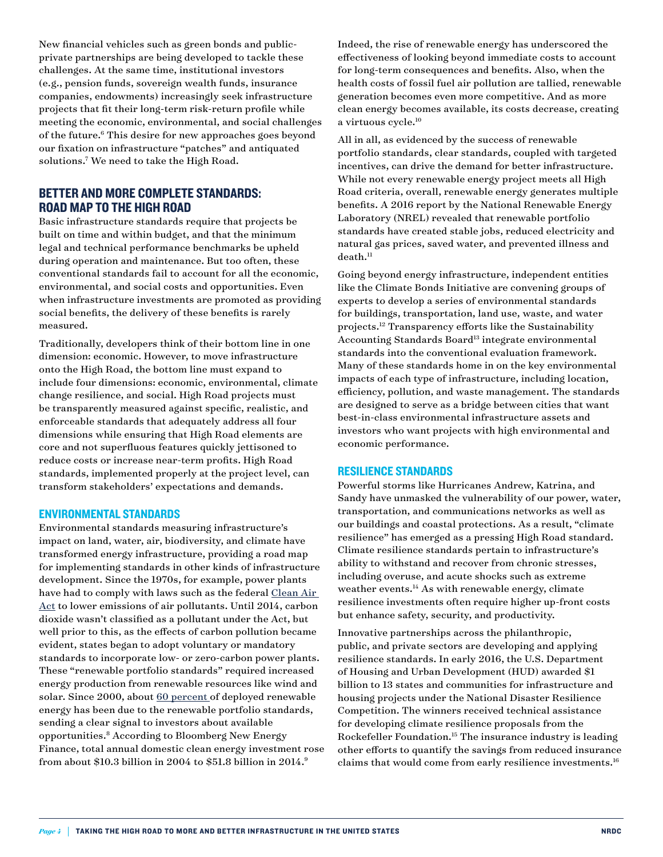New financial vehicles such as green bonds and publicprivate partnerships are being developed to tackle these challenges. At the same time, institutional investors (e.g., pension funds, sovereign wealth funds, insurance companies, endowments) increasingly seek infrastructure projects that fit their long-term risk-return profile while meeting the economic, environmental, and social challenges of the future.<sup>6</sup> This desire for new approaches goes beyond our fixation on infrastructure "patches" and antiquated solutions.7 We need to take the High Road.

#### BETTER AND MORE COMPLETE STANDARDS: ROAD MAP TO THE HIGH ROAD

Basic infrastructure standards require that projects be built on time and within budget, and that the minimum legal and technical performance benchmarks be upheld during operation and maintenance. But too often, these conventional standards fail to account for all the economic, environmental, and social costs and opportunities. Even when infrastructure investments are promoted as providing social benefits, the delivery of these benefits is rarely measured.

Traditionally, developers think of their bottom line in one dimension: economic. However, to move infrastructure onto the High Road, the bottom line must expand to include four dimensions: economic, environmental, climate change resilience, and social. High Road projects must be transparently measured against specific, realistic, and enforceable standards that adequately address all four dimensions while ensuring that High Road elements are core and not superfluous features quickly jettisoned to reduce costs or increase near-term profits. High Road standards, implemented properly at the project level, can transform stakeholders' expectations and demands.

#### ENVIRONMENTAL STANDARDS

Environmental standards measuring infrastructure's impact on land, water, air, biodiversity, and climate have transformed energy infrastructure, providing a road map for implementing standards in other kinds of infrastructure development. Since the 1970s, for example, power plants have had to comply with laws such as the federal Clean Air [Act](https://www.epa.gov/laws-regulations/summary-clean-air-act) to lower emissions of air pollutants. Until 2014, carbon dioxide wasn't classified as a pollutant under the Act, but well prior to this, as the effects of carbon pollution became evident, states began to adopt voluntary or mandatory standards to incorporate low- or zero-carbon power plants. These "renewable portfolio standards" required increased energy production from renewable resources like wind and solar. Since 2000, about [60 percent](https://emp.lbl.gov/sites/all/files/2015%2520National%2520RPS%2520Summit%2520Barbose.pdf) of deployed renewable energy has been due to the renewable portfolio standards, sending a clear signal to investors about available opportunities.8 According to Bloomberg New Energy Finance, total annual domestic clean energy investment rose from about \$10.3 billion in 2004 to \$51.8 billion in 2014.9

Indeed, the rise of renewable energy has underscored the effectiveness of looking beyond immediate costs to account for long-term consequences and benefits. Also, when the health costs of fossil fuel air pollution are tallied, renewable generation becomes even more competitive. And as more clean energy becomes available, its costs decrease, creating a virtuous cycle.<sup>10</sup>

All in all, as evidenced by the success of renewable portfolio standards, clear standards, coupled with targeted incentives, can drive the demand for better infrastructure. While not every renewable energy project meets all High Road criteria, overall, renewable energy generates multiple benefits. A 2016 report by the National Renewable Energy Laboratory (NREL) revealed that renewable portfolio standards have created stable jobs, reduced electricity and natural gas prices, saved water, and prevented illness and  $death.<sup>11</sup>$ 

Going beyond energy infrastructure, independent entities like the Climate Bonds Initiative are convening groups of experts to develop a series of environmental standards for buildings, transportation, land use, waste, and water projects.12 Transparency efforts like the Sustainability Accounting Standards Board<sup>13</sup> integrate environmental standards into the conventional evaluation framework. Many of these standards home in on the key environmental impacts of each type of infrastructure, including location, efficiency, pollution, and waste management. The standards are designed to serve as a bridge between cities that want best-in-class environmental infrastructure assets and investors who want projects with high environmental and economic performance.

#### RESILIENCE STANDARDS

Powerful storms like Hurricanes Andrew, Katrina, and Sandy have unmasked the vulnerability of our power, water, transportation, and communications networks as well as our buildings and coastal protections. As a result, "climate resilience" has emerged as a pressing High Road standard. Climate resilience standards pertain to infrastructure's ability to withstand and recover from chronic stresses, including overuse, and acute shocks such as extreme weather events.<sup>14</sup> As with renewable energy, climate resilience investments often require higher up-front costs but enhance safety, security, and productivity.

Innovative partnerships across the philanthropic, public, and private sectors are developing and applying resilience standards. In early 2016, the U.S. Department of Housing and Urban Development (HUD) awarded \$1 billion to 13 states and communities for infrastructure and housing projects under the National Disaster Resilience Competition. The winners received technical assistance for developing climate resilience proposals from the Rockefeller Foundation.15 The insurance industry is leading other efforts to quantify the savings from reduced insurance claims that would come from early resilience investments.16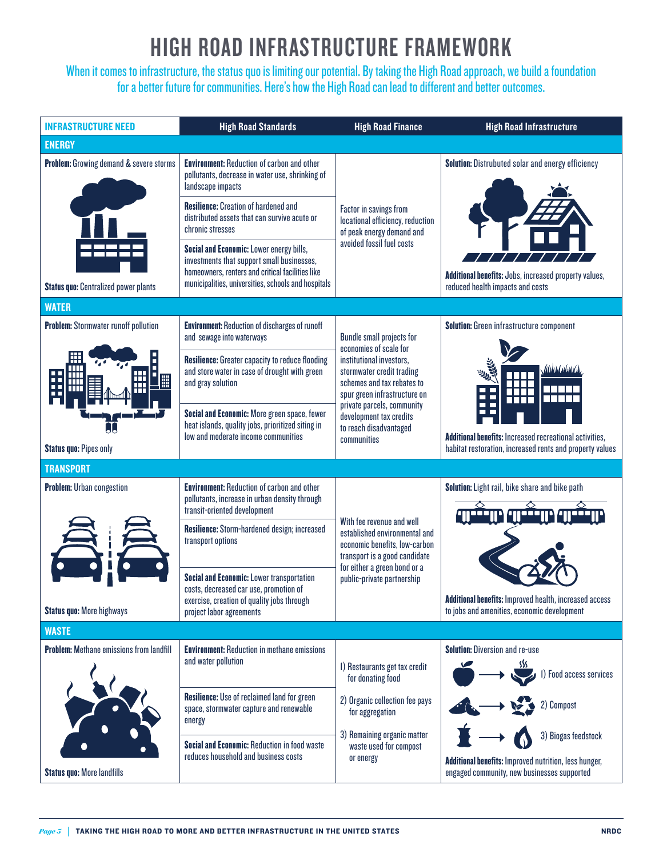## HIGH ROAD INFRASTRUCTURE FRAMEWORK

When it comes to infrastructure, the status quo is limiting our potential. By taking the High Road approach, we build a foundation for a better future for communities. Here's how the High Road can lead to different and better outcomes.

| <b>INFRASTRUCTURE NEED</b>                                                           | <b>High Road Standards</b>                                                                                                                                                                        | <b>High Road Finance</b>                                                                                                     |                                                                                                                                          |  |  |  |  |  |  |
|--------------------------------------------------------------------------------------|---------------------------------------------------------------------------------------------------------------------------------------------------------------------------------------------------|------------------------------------------------------------------------------------------------------------------------------|------------------------------------------------------------------------------------------------------------------------------------------|--|--|--|--|--|--|
| <b>ENERGY</b>                                                                        |                                                                                                                                                                                                   |                                                                                                                              |                                                                                                                                          |  |  |  |  |  |  |
| <b>Problem:</b> Growing demand & severe storms                                       | <b>Environment: Reduction of carbon and other</b><br>pollutants, decrease in water use, shrinking of<br>landscape impacts                                                                         |                                                                                                                              | Solution: Distrubuted solar and energy efficiency                                                                                        |  |  |  |  |  |  |
|                                                                                      | <b>Resilience:</b> Creation of hardened and<br>distributed assets that can survive acute or<br>chronic stresses                                                                                   | Factor in savings from<br>locational efficiency, reduction<br>of peak energy demand and                                      |                                                                                                                                          |  |  |  |  |  |  |
|                                                                                      | Social and Economic: Lower energy bills,<br>investments that support small businesses,<br>homeowners, renters and critical facilities like<br>municipalities, universities, schools and hospitals | avoided fossil fuel costs                                                                                                    | <b>Additional benefits:</b> Jobs, increased property values,                                                                             |  |  |  |  |  |  |
| <b>Status quo: Centralized power plants</b>                                          |                                                                                                                                                                                                   |                                                                                                                              | reduced health impacts and costs                                                                                                         |  |  |  |  |  |  |
| <b>WATER</b>                                                                         |                                                                                                                                                                                                   |                                                                                                                              |                                                                                                                                          |  |  |  |  |  |  |
| <b>Problem:</b> Stormwater runoff pollution                                          | <b>Environment: Reduction of discharges of runoff</b><br>and sewage into waterways                                                                                                                | <b>Bundle small projects for</b><br>economies of scale for                                                                   | <b>Solution:</b> Green infrastructure component                                                                                          |  |  |  |  |  |  |
|                                                                                      | <b>Resilience:</b> Greater capacity to reduce flooding<br>and store water in case of drought with green<br>and gray solution                                                                      | institutional investors.<br>stormwater credit trading<br>schemes and tax rebates to<br>spur green infrastructure on          | (ANTHENOID<br><b>Additional benefits: Increased recreational activities,</b><br>habitat restoration, increased rents and property values |  |  |  |  |  |  |
| J.<br><b>Status quo: Pipes only</b>                                                  | Social and Economic: More green space, fewer<br>heat islands, quality jobs, prioritized siting in<br>low and moderate income communities                                                          | private parcels, community<br>development tax credits<br>to reach disadvantaged<br>communities                               |                                                                                                                                          |  |  |  |  |  |  |
| <b>TRANSPORT</b>                                                                     |                                                                                                                                                                                                   |                                                                                                                              |                                                                                                                                          |  |  |  |  |  |  |
| <b>Problem:</b> Urban congestion                                                     | <b>Environment: Reduction of carbon and other</b><br>pollutants, increase in urban density through<br>transit-oriented development                                                                |                                                                                                                              | Solution: Light rail, bike share and bike path<br>ance any ance a                                                                        |  |  |  |  |  |  |
|                                                                                      | Resilience: Storm-hardened design; increased<br>transport options                                                                                                                                 | With fee revenue and well<br>established environmental and<br>economic benefits, low-carbon<br>transport is a good candidate |                                                                                                                                          |  |  |  |  |  |  |
|                                                                                      | <b>Social and Economic: Lower transportation</b><br>costs, decreased car use, promotion of<br>exercise, creation of quality jobs through                                                          | for either a green bond or a<br>public-private partnership                                                                   | <b>Additional benefits: Improved health, increased access</b>                                                                            |  |  |  |  |  |  |
| <b>Status quo: More highways</b>                                                     | project labor agreements                                                                                                                                                                          |                                                                                                                              | to jobs and amenities, economic development                                                                                              |  |  |  |  |  |  |
| <b>WASTE</b>                                                                         |                                                                                                                                                                                                   |                                                                                                                              |                                                                                                                                          |  |  |  |  |  |  |
| <b>Problem:</b> Methane emissions from landfill<br><b>Status quo: More landfills</b> | <b>Environment: Reduction in methane emissions</b>                                                                                                                                                |                                                                                                                              | <b>Solution: Diversion and re-use</b>                                                                                                    |  |  |  |  |  |  |
|                                                                                      | and water pollution                                                                                                                                                                               | I) Restaurants get tax credit<br>for donating food                                                                           | SSS.<br>I) Food access services                                                                                                          |  |  |  |  |  |  |
|                                                                                      | <b>Resilience:</b> Use of reclaimed land for green<br>space, stormwater capture and renewable<br>energy                                                                                           | 2) Organic collection fee pays<br>for aggregation                                                                            | 2) Compost                                                                                                                               |  |  |  |  |  |  |
|                                                                                      | <b>Social and Economic: Reduction in food waste</b><br>reduces household and business costs                                                                                                       | 3) Remaining organic matter<br>waste used for compost<br>or energy                                                           | 3) Biogas feedstock<br><b>Additional benefits: Improved nutrition, less hunger,</b><br>engaged community, new businesses supported       |  |  |  |  |  |  |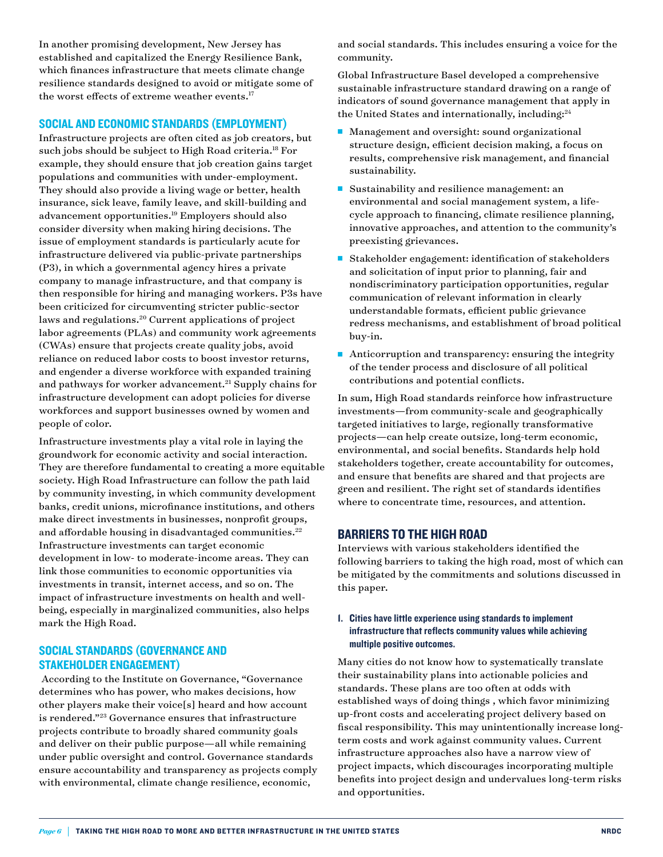In another promising development, New Jersey has established and capitalized the Energy Resilience Bank, which finances infrastructure that meets climate change resilience standards designed to avoid or mitigate some of the worst effects of extreme weather events.<sup>17</sup>

#### SOCIAL AND ECONOMIC STANDARDS (EMPLOYMENT)

Infrastructure projects are often cited as job creators, but such jobs should be subject to High Road criteria.<sup>18</sup> For example, they should ensure that job creation gains target populations and communities with under-employment. They should also provide a living wage or better, health insurance, sick leave, family leave, and skill-building and advancement opportunities.19 Employers should also consider diversity when making hiring decisions. The issue of employment standards is particularly acute for infrastructure delivered via public-private partnerships (P3), in which a governmental agency hires a private company to manage infrastructure, and that company is then responsible for hiring and managing workers. P3s have been criticized for circumventing stricter public-sector laws and regulations.20 Current applications of project labor agreements (PLAs) and community work agreements (CWAs) ensure that projects create quality jobs, avoid reliance on reduced labor costs to boost investor returns, and engender a diverse workforce with expanded training and pathways for worker advancement.<sup>21</sup> Supply chains for infrastructure development can adopt policies for diverse workforces and support businesses owned by women and people of color.

Infrastructure investments play a vital role in laying the groundwork for economic activity and social interaction. They are therefore fundamental to creating a more equitable society. High Road Infrastructure can follow the path laid by community investing, in which community development banks, credit unions, microfinance institutions, and others make direct investments in businesses, nonprofit groups, and affordable housing in disadvantaged communities.<sup>22</sup> Infrastructure investments can target economic development in low- to moderate-income areas. They can link those communities to economic opportunities via investments in transit, internet access, and so on. The impact of infrastructure investments on health and wellbeing, especially in marginalized communities, also helps mark the High Road.

#### SOCIAL STANDARDS (GOVERNANCE AND STAKEHOLDER ENGAGEMENT)

 According to the Institute on Governance, "Governance determines who has power, who makes decisions, how other players make their voice[s] heard and how account is rendered."23 Governance ensures that infrastructure projects contribute to broadly shared community goals and deliver on their public purpose—all while remaining under public oversight and control. Governance standards ensure accountability and transparency as projects comply with environmental, climate change resilience, economic,

and social standards. This includes ensuring a voice for the community.

Global Infrastructure Basel developed a comprehensive sustainable infrastructure standard drawing on a range of indicators of sound governance management that apply in the United States and internationally, including:<sup>24</sup>

- Management and oversight: sound organizational structure design, efficient decision making, a focus on results, comprehensive risk management, and financial sustainability.
- Sustainability and resilience management: an environmental and social management system, a lifecycle approach to financing, climate resilience planning, innovative approaches, and attention to the community's preexisting grievances.
- <sup>n</sup> Stakeholder engagement: identification of stakeholders and solicitation of input prior to planning, fair and nondiscriminatory participation opportunities, regular communication of relevant information in clearly understandable formats, efficient public grievance redress mechanisms, and establishment of broad political buy-in.
- Anticorruption and transparency: ensuring the integrity of the tender process and disclosure of all political contributions and potential conflicts.

In sum, High Road standards reinforce how infrastructure investments—from community-scale and geographically targeted initiatives to large, regionally transformative projects—can help create outsize, long-term economic, environmental, and social benefits. Standards help hold stakeholders together, create accountability for outcomes, and ensure that benefits are shared and that projects are green and resilient. The right set of standards identifies where to concentrate time, resources, and attention.

#### BARRIERS TO THE HIGH ROAD

Interviews with various stakeholders identified the following barriers to taking the high road, most of which can be mitigated by the commitments and solutions discussed in this paper.

#### 1. Cities have little experience using standards to implement infrastructure that reflects community values while achieving multiple positive outcomes.

Many cities do not know how to systematically translate their sustainability plans into actionable policies and standards. These plans are too often at odds with established ways of doing things , which favor minimizing up-front costs and accelerating project delivery based on fiscal responsibility. This may unintentionally increase longterm costs and work against community values. Current infrastructure approaches also have a narrow view of project impacts, which discourages incorporating multiple benefits into project design and undervalues long-term risks and opportunities.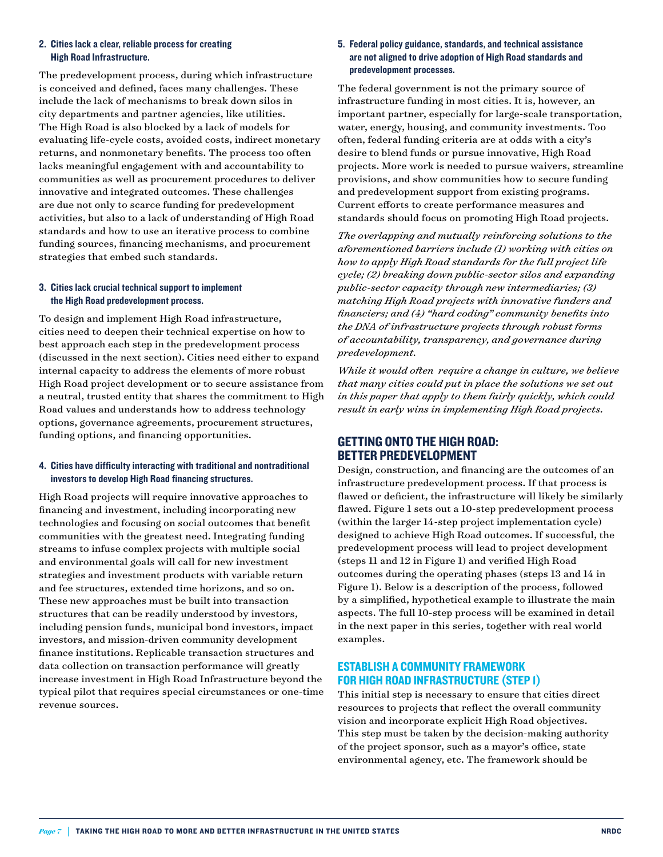#### 2. Cities lack a clear, reliable process for creating High Road Infrastructure.

The predevelopment process, during which infrastructure is conceived and defined, faces many challenges. These include the lack of mechanisms to break down silos in city departments and partner agencies, like utilities. The High Road is also blocked by a lack of models for evaluating life-cycle costs, avoided costs, indirect monetary returns, and nonmonetary benefits. The process too often lacks meaningful engagement with and accountability to communities as well as procurement procedures to deliver innovative and integrated outcomes. These challenges are due not only to scarce funding for predevelopment activities, but also to a lack of understanding of High Road standards and how to use an iterative process to combine funding sources, financing mechanisms, and procurement strategies that embed such standards.

#### 3. Cities lack crucial technical support to implement the High Road predevelopment process.

To design and implement High Road infrastructure, cities need to deepen their technical expertise on how to best approach each step in the predevelopment process (discussed in the next section). Cities need either to expand internal capacity to address the elements of more robust High Road project development or to secure assistance from a neutral, trusted entity that shares the commitment to High Road values and understands how to address technology options, governance agreements, procurement structures, funding options, and financing opportunities.

#### 4. Cities have difficulty interacting with traditional and nontraditional investors to develop High Road financing structures.

High Road projects will require innovative approaches to financing and investment, including incorporating new technologies and focusing on social outcomes that benefit communities with the greatest need. Integrating funding streams to infuse complex projects with multiple social and environmental goals will call for new investment strategies and investment products with variable return and fee structures, extended time horizons, and so on. These new approaches must be built into transaction structures that can be readily understood by investors, including pension funds, municipal bond investors, impact investors, and mission-driven community development finance institutions. Replicable transaction structures and data collection on transaction performance will greatly increase investment in High Road Infrastructure beyond the typical pilot that requires special circumstances or one-time revenue sources.

#### 5. Federal policy guidance, standards, and technical assistance are not aligned to drive adoption of High Road standards and predevelopment processes.

The federal government is not the primary source of infrastructure funding in most cities. It is, however, an important partner, especially for large-scale transportation, water, energy, housing, and community investments. Too often, federal funding criteria are at odds with a city's desire to blend funds or pursue innovative, High Road projects. More work is needed to pursue waivers, streamline provisions, and show communities how to secure funding and predevelopment support from existing programs. Current efforts to create performance measures and standards should focus on promoting High Road projects.

*The overlapping and mutually reinforcing solutions to the aforementioned barriers include (1) working with cities on how to apply High Road standards for the full project life cycle; (2) breaking down public-sector silos and expanding public-sector capacity through new intermediaries; (3) matching High Road projects with innovative funders and financiers; and (4) "hard coding" community benefits into the DNA of infrastructure projects through robust forms of accountability, transparency, and governance during predevelopment.*

*While it would often require a change in culture, we believe that many cities could put in place the solutions we set out in this paper that apply to them fairly quickly, which could result in early wins in implementing High Road projects.*

#### GETTING ONTO THE HIGH ROAD: BETTER PREDEVELOPMENT

Design, construction, and financing are the outcomes of an infrastructure predevelopment process. If that process is flawed or deficient, the infrastructure will likely be similarly flawed. Figure 1 sets out a 10-step predevelopment process (within the larger 14-step project implementation cycle) designed to achieve High Road outcomes. If successful, the predevelopment process will lead to project development (steps 11 and 12 in Figure 1) and verified High Road outcomes during the operating phases (steps 13 and 14 in Figure 1). Below is a description of the process, followed by a simplified, hypothetical example to illustrate the main aspects. The full 10-step process will be examined in detail in the next paper in this series, together with real world examples.

#### ESTABLISH A COMMUNITY FRAMEWORK FOR HIGH ROAD INFRASTRUCTURE (STEP 1)

This initial step is necessary to ensure that cities direct resources to projects that reflect the overall community vision and incorporate explicit High Road objectives. This step must be taken by the decision-making authority of the project sponsor, such as a mayor's office, state environmental agency, etc. The framework should be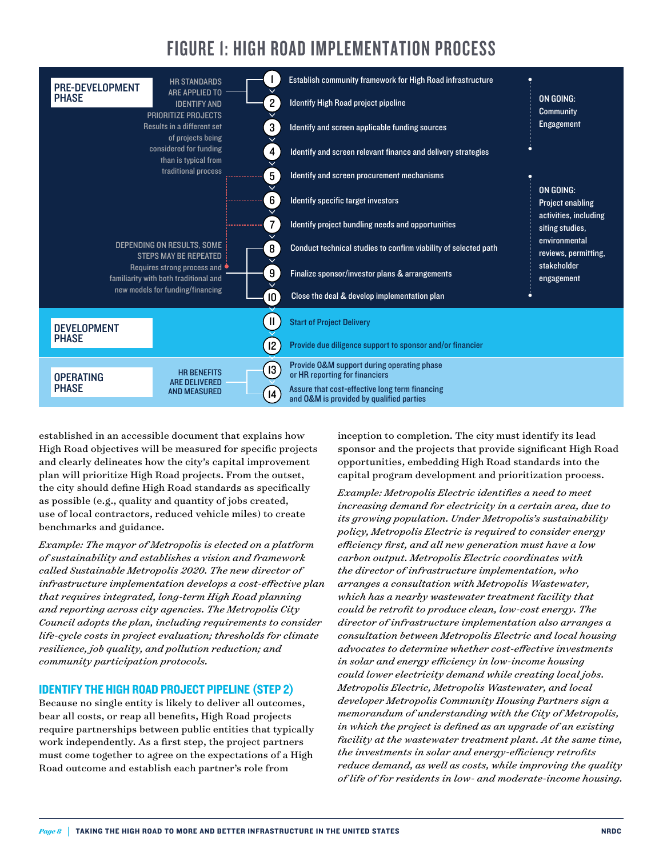### FIGURE 1: HIGH ROAD IMPLEMENTATION PROCESS

| <b>PRE-DEVELOPMENT</b>                                                                                                                                              | <b>HR STANDARDS</b><br><b>ARE APPLIED TO</b> |                | Establish community framework for High Road infrastructure                                 |                                                                    |  |  |
|---------------------------------------------------------------------------------------------------------------------------------------------------------------------|----------------------------------------------|----------------|--------------------------------------------------------------------------------------------|--------------------------------------------------------------------|--|--|
| <b>PHASE</b>                                                                                                                                                        | <b>IDENTIFY AND</b>                          | $\mathbf{2}$   | Identify High Road project pipeline                                                        | ON GOING:<br><b>Community</b>                                      |  |  |
| <b>PRIORITIZE PROJECTS</b><br>Results in a different set<br>of projects being                                                                                       |                                              | 3 <sup>2</sup> | Identify and screen applicable funding sources                                             | <b>Engagement</b>                                                  |  |  |
| considered for funding<br>4 <sup>1</sup><br>than is typical from<br>$\checkmark$                                                                                    |                                              |                | Identify and screen relevant finance and delivery strategies                               |                                                                    |  |  |
| traditional process<br>5 <sup>1</sup>                                                                                                                               |                                              |                | Identify and screen procurement mechanisms                                                 |                                                                    |  |  |
|                                                                                                                                                                     |                                              | 6              | Identify specific target investors                                                         | ON GOING:<br><b>Project enabling</b>                               |  |  |
|                                                                                                                                                                     |                                              | 7 <sup>1</sup> | Identify project bundling needs and opportunities                                          | activities, including<br>siting studies,                           |  |  |
| DEPENDING ON RESULTS, SOME<br>8 <sup>1</sup><br><b>STEPS MAY BE REPEATED</b><br>Requires strong process and<br>$9^{\circ}$<br>familiarity with both traditional and |                                              |                | Conduct technical studies to confirm viability of selected path                            | environmental<br>reviews, permitting,<br>stakeholder<br>engagement |  |  |
|                                                                                                                                                                     |                                              |                | Finalize sponsor/investor plans & arrangements                                             |                                                                    |  |  |
|                                                                                                                                                                     | new models for funding/financing             | 10             | Close the deal & develop implementation plan                                               |                                                                    |  |  |
| <b>DEVELOPMENT</b>                                                                                                                                                  |                                              | 11             | <b>Start of Project Delivery</b>                                                           |                                                                    |  |  |
| <b>PHASE</b>                                                                                                                                                        |                                              | $ 2\rangle$    | Provide due diligence support to sponsor and/or financier                                  |                                                                    |  |  |
| <b>OPERATING</b>                                                                                                                                                    | <b>HR BENEFITS</b><br><b>ARE DELIVERED</b>   | $ 3\rangle$    | Provide O&M support during operating phase<br>or HR reporting for financiers               |                                                                    |  |  |
| <b>PHASE</b>                                                                                                                                                        | <b>AND MEASURED</b>                          | $ 4\rangle$    | Assure that cost-effective long term financing<br>and O&M is provided by qualified parties |                                                                    |  |  |

established in an accessible document that explains how High Road objectives will be measured for specific projects and clearly delineates how the city's capital improvement plan will prioritize High Road projects. From the outset, the city should define High Road standards as specifically as possible (e.g., quality and quantity of jobs created, use of local contractors, reduced vehicle miles) to create benchmarks and guidance.

*Example: The mayor of Metropolis is elected on a platform of sustainability and establishes a vision and framework called Sustainable Metropolis 2020. The new director of infrastructure implementation develops a cost-effective plan that requires integrated, long-term High Road planning and reporting across city agencies. The Metropolis City Council adopts the plan, including requirements to consider life-cycle costs in project evaluation; thresholds for climate resilience, job quality, and pollution reduction; and community participation protocols.*

#### IDENTIFY THE HIGH ROAD PROJECT PIPELINE (STEP 2)

Because no single entity is likely to deliver all outcomes, bear all costs, or reap all benefits, High Road projects require partnerships between public entities that typically work independently. As a first step, the project partners must come together to agree on the expectations of a High Road outcome and establish each partner's role from

inception to completion. The city must identify its lead sponsor and the projects that provide significant High Road opportunities, embedding High Road standards into the capital program development and prioritization process.

*Example: Metropolis Electric identifies a need to meet increasing demand for electricity in a certain area, due to its growing population. Under Metropolis's sustainability policy, Metropolis Electric is required to consider energy efficiency first, and all new generation must have a low carbon output. Metropolis Electric coordinates with the director of infrastructure implementation, who arranges a consultation with Metropolis Wastewater, which has a nearby wastewater treatment facility that could be retrofit to produce clean, low-cost energy. The director of infrastructure implementation also arranges a consultation between Metropolis Electric and local housing advocates to determine whether cost-effective investments in solar and energy efficiency in low-income housing could lower electricity demand while creating local jobs. Metropolis Electric, Metropolis Wastewater, and local developer Metropolis Community Housing Partners sign a memorandum of understanding with the City of Metropolis, in which the project is defined as an upgrade of an existing facility at the wastewater treatment plant. At the same time, the investments in solar and energy-efficiency retrofits reduce demand, as well as costs, while improving the quality of life of for residents in low- and moderate-income housing.*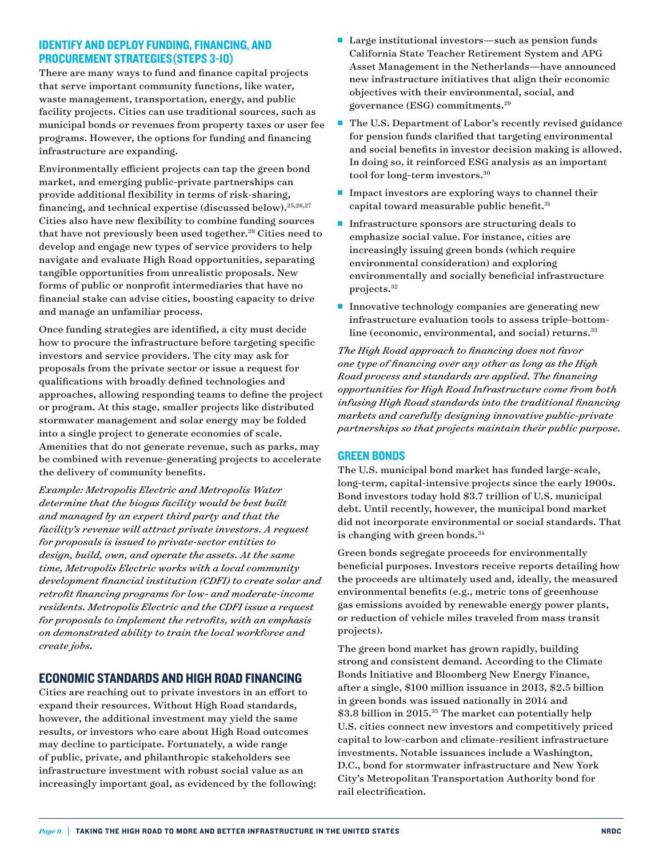#### IDENTIFY AND DEPLOY FUNDING, FINANCING, AND PROCUREMENT STRATEGIES(STEPS 3-10)

There are many ways to fund and finance capital projects that serve important community functions, like water, waste management, transportation, energy, and public facility projects. Cities can use traditional sources, such as municipal bonds or revenues from property taxes or user fee programs. However, the options for funding and financing infrastructure are expanding.

Environmentally efficient projects can tap the green bond market, and emerging public-private partnerships can provide additional flexibility in terms of risk-sharing, financing, and technical expertise (discussed below).25,26,27 Cities also have new flexibility to combine funding sources that have not previously been used together.<sup>28</sup> Cities need to develop and engage new types of service providers to help navigate and evaluate High Road opportunities, separating tangible opportunities from unrealistic proposals. New forms of public or nonprofit intermediaries that have no financial stake can advise cities, boosting capacity to drive and manage an unfamiliar process.

Once funding strategies are identified, a city must decide how to procure the infrastructure before targeting specific investors and service providers. The city may ask for proposals from the private sector or issue a request for qualifications with broadly defined technologies and approaches, allowing responding teams to define the project or program. At this stage, smaller projects like distributed stormwater management and solar energy may be folded into a single project to generate economies of scale. Amenities that do not generate revenue, such as parks, may be combined with revenue-generating projects to accelerate the delivery of community benefits.

*Example: Metropolis Electric and Metropolis Water determine that the biogas facility would be best built and managed by an expert third party and that the facility's revenue will attract private investors. A request for proposals is issued to private-sector entities to design, build, own, and operate the assets. At the same time, Metropolis Electric works with a local community development financial institution (CDFI) to create solar and retrofit financing programs for low- and moderate-income residents. Metropolis Electric and the CDFI issue a request for proposals to implement the retrofits, with an emphasis on demonstrated ability to train the local workforce and create jobs.*

#### ECONOMIC STANDARDS AND HIGH ROAD FINANCING

Cities are reaching out to private investors in an effort to expand their resources. Without High Road standards, however, the additional investment may yield the same results, or investors who care about High Road outcomes may decline to participate. Fortunately, a wide range of public, private, and philanthropic stakeholders see infrastructure investment with robust social value as an increasingly important goal, as evidenced by the following:

- $\blacksquare$  Large institutional investors—such as pension funds California State Teacher Retirement System and APG Asset Management in the Netherlands—have announced new infrastructure initiatives that align their economic objectives with their environmental, social, and governance (ESG) commitments.29
- The U.S. Department of Labor's recently revised guidance for pension funds clarified that targeting environmental and social benefits in investor decision making is allowed. In doing so, it reinforced ESG analysis as an important tool for long-term investors.30
- $\blacksquare$  Impact investors are exploring ways to channel their capital toward measurable public benefit.<sup>31</sup>
- $\blacksquare$  Infrastructure sponsors are structuring deals to emphasize social value. For instance, cities are increasingly issuing green bonds (which require environmental consideration) and exploring environmentally and socially beneficial infrastructure projects.32
- Innovative technology companies are generating new infrastructure evaluation tools to assess triple-bottomline (economic, environmental, and social) returns.<sup>33</sup>

*The High Road approach to financing does not favor one type of financing over any other as long as the High Road process and standards are applied. The financing opportunities for High Road Infrastructure come from both infusing High Road standards into the traditional financing markets and carefully designing innovative public-private partnerships so that projects maintain their public purpose.* 

#### GREEN BONDS

The U.S. municipal bond market has funded large-scale, long-term, capital-intensive projects since the early 1900s. Bond investors today hold \$3.7 trillion of U.S. municipal debt. Until recently, however, the municipal bond market did not incorporate environmental or social standards. That is changing with green bonds. $34$ 

Green bonds segregate proceeds for environmentally beneficial purposes. Investors receive reports detailing how the proceeds are ultimately used and, ideally, the measured environmental benefits (e.g., metric tons of greenhouse gas emissions avoided by renewable energy power plants, or reduction of vehicle miles traveled from mass transit projects).

The green bond market has grown rapidly, building strong and consistent demand. According to the Climate Bonds Initiative and Bloomberg New Energy Finance, after a single, \$100 million issuance in 2013, \$2.5 billion in green bonds was issued nationally in 2014 and \$3.8 billion in 2015.<sup>35</sup> The market can potentially help U.S. cities connect new investors and competitively priced capital to low-carbon and climate-resilient infrastructure investments. Notable issuances include a Washington, D.C., bond for stormwater infrastructure and New York City's Metropolitan Transportation Authority bond for rail electrification.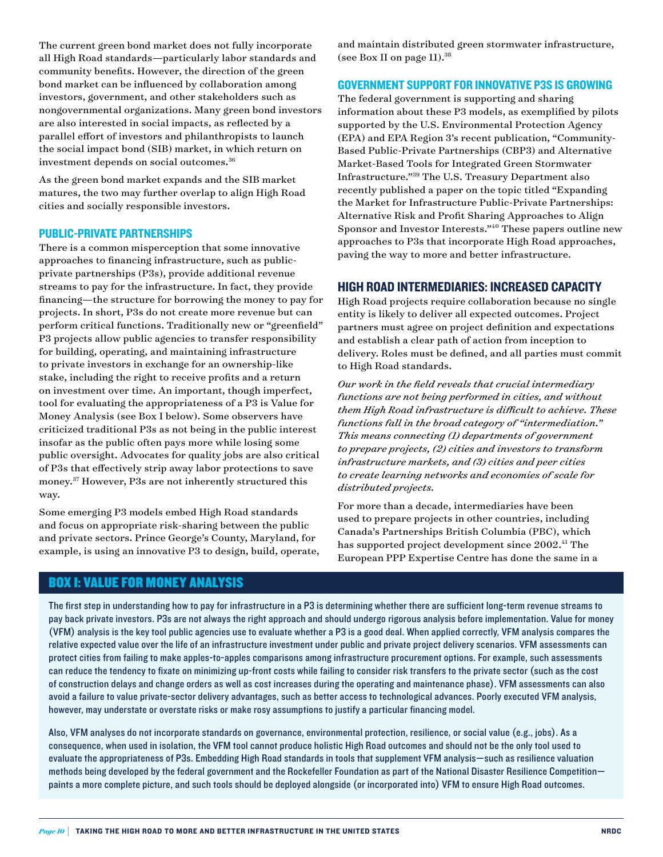The current green bond market does not fully incorporate all High Road standards—particularly labor standards and community benefits. However, the direction of the green bond market can be influenced by collaboration among investors, government, and other stakeholders such as nongovernmental organizations. Many green bond investors are also interested in social impacts, as reflected by a parallel effort of investors and philanthropists to launch the social impact bond (SIB) market, in which return on investment depends on social outcomes.36

As the green bond market expands and the SIB market matures, the two may further overlap to align High Road cities and socially responsible investors.

#### PUBLIC-PRIVATE PARTNERSHIPS

There is a common misperception that some innovative approaches to financing infrastructure, such as publicprivate partnerships (P3s), provide additional revenue streams to pay for the infrastructure. In fact, they provide financing—the structure for borrowing the money to pay for projects. In short, P3s do not create more revenue but can perform critical functions. Traditionally new or "greenfield" P3 projects allow public agencies to transfer responsibility for building, operating, and maintaining infrastructure to private investors in exchange for an ownership-like stake, including the right to receive profits and a return on investment over time. An important, though imperfect, tool for evaluating the appropriateness of a P3 is Value for Money Analysis (see Box I below). Some observers have criticized traditional P3s as not being in the public interest insofar as the public often pays more while losing some public oversight. Advocates for quality jobs are also critical of P3s that effectively strip away labor protections to save money.37 However, P3s are not inherently structured this way.

Some emerging P3 models embed High Road standards and focus on appropriate risk-sharing between the public and private sectors. Prince George's County, Maryland, for example, is using an innovative P3 to design, build, operate, and maintain distributed green stormwater infrastructure, (see Box II on page  $11$ ).<sup>38</sup>

#### GOVERNMENT SUPPORT FOR INNOVATIVE P3S IS GROWING

The federal government is supporting and sharing information about these P3 models, as exemplified by pilots supported by the U.S. Environmental Protection Agency (EPA) and EPA Region 3's recent publication, "Community-Based Public-Private Partnerships (CBP3) and Alternative Market-Based Tools for Integrated Green Stormwater Infrastructure."39 The U.S. Treasury Department also recently published a paper on the topic titled "Expanding the Market for Infrastructure Public-Private Partnerships: Alternative Risk and Profit Sharing Approaches to Align Sponsor and Investor Interests."40 These papers outline new approaches to P3s that incorporate High Road approaches, paving the way to more and better infrastructure.

#### HIGH ROAD INTERMEDIARIES: INCREASED CAPACITY

High Road projects require collaboration because no single entity is likely to deliver all expected outcomes. Project partners must agree on project definition and expectations and establish a clear path of action from inception to delivery. Roles must be defined, and all parties must commit to High Road standards.

*Our work in the field reveals that crucial intermediary functions are not being performed in cities, and without them High Road infrastructure is difficult to achieve. These functions fall in the broad category of "intermediation." This means connecting (1) departments of government to prepare projects, (2) cities and investors to transform infrastructure markets, and (3) cities and peer cities to create learning networks and economies of scale for distributed projects.* 

For more than a decade, intermediaries have been used to prepare projects in other countries, including Canada's Partnerships British Columbia (PBC), which has supported project development since 2002.<sup>41</sup> The European PPP Expertise Centre has done the same in a

#### BOX I: VALUE FOR MONEY ANALYSIS

The first step in understanding how to pay for infrastructure in a P3 is determining whether there are sufficient long-term revenue streams to pay back private investors. P3s are not always the right approach and should undergo rigorous analysis before implementation. Value for money (VFM) analysis is the key tool public agencies use to evaluate whether a P3 is a good deal. When applied correctly, VFM analysis compares the relative expected value over the life of an infrastructure investment under public and private project delivery scenarios. VFM assessments can protect cities from failing to make apples-to-apples comparisons among infrastructure procurement options. For example, such assessments can reduce the tendency to fixate on minimizing up-front costs while failing to consider risk transfers to the private sector (such as the cost of construction delays and change orders as well as cost increases during the operating and maintenance phase). VFM assessments can also avoid a failure to value private-sector delivery advantages, such as better access to technological advances. Poorly executed VFM analysis, however, may understate or overstate risks or make rosy assumptions to justify a particular financing model.

Also, VFM analyses do not incorporate standards on governance, environmental protection, resilience, or social value (e.g., jobs). As a consequence, when used in isolation, the VFM tool cannot produce holistic High Road outcomes and should not be the only tool used to evaluate the appropriateness of P3s. Embedding High Road standards in tools that supplement VFM analysis—such as resilience valuation methods being developed by the federal government and the Rockefeller Foundation as part of the National Disaster Resilience Competition paints a more complete picture, and such tools should be deployed alongside (or incorporated into) VFM to ensure High Road outcomes.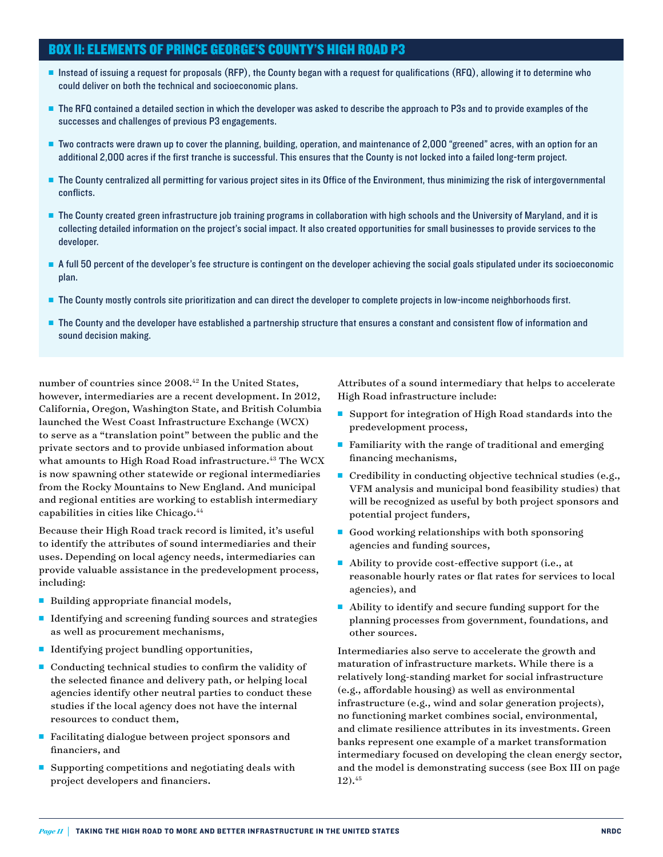#### BOX II: ELEMENTS OF PRINCE GEORGE'S COUNTY'S HIGH ROAD P3

- <sup>n</sup> Instead of issuing a request for proposals (RFP), the County began with a request for qualifications (RFQ), allowing it to determine who could deliver on both the technical and socioeconomic plans.
- The RFQ contained a detailed section in which the developer was asked to describe the approach to P3s and to provide examples of the successes and challenges of previous P3 engagements.
- <sup>n</sup> Two contracts were drawn up to cover the planning, building, operation, and maintenance of 2,000 "greened" acres, with an option for an additional 2,000 acres if the first tranche is successful. This ensures that the County is not locked into a failed long-term project.
- The County centralized all permitting for various project sites in its Office of the Environment, thus minimizing the risk of intergovernmental conflicts.
- n The County created green infrastructure job training programs in collaboration with high schools and the University of Maryland, and it is collecting detailed information on the project's social impact. It also created opportunities for small businesses to provide services to the developer.
- <sup>n</sup> A full 50 percent of the developer's fee structure is contingent on the developer achieving the social goals stipulated under its socioeconomic plan.
- <sup>n</sup> The County mostly controls site prioritization and can direct the developer to complete projects in low-income neighborhoods first.
- **n** The County and the developer have established a partnership structure that ensures a constant and consistent flow of information and sound decision making.

number of countries since 2008.<sup>42</sup> In the United States, however, intermediaries are a recent development. In 2012, California, Oregon, Washington State, and British Columbia launched the West Coast Infrastructure Exchange (WCX) to serve as a "translation point" between the public and the private sectors and to provide unbiased information about what amounts to High Road Road infrastructure.<sup>43</sup> The WCX is now spawning other statewide or regional intermediaries from the Rocky Mountains to New England. And municipal and regional entities are working to establish intermediary capabilities in cities like Chicago.44

Because their High Road track record is limited, it's useful to identify the attributes of sound intermediaries and their uses. Depending on local agency needs, intermediaries can provide valuable assistance in the predevelopment process, including:

- Building appropriate financial models,
- $\blacksquare$  Identifying and screening funding sources and strategies as well as procurement mechanisms,
- Identifying project bundling opportunities,
- $\blacksquare$  Conducting technical studies to confirm the validity of the selected finance and delivery path, or helping local agencies identify other neutral parties to conduct these studies if the local agency does not have the internal resources to conduct them,
- $\blacksquare$  Facilitating dialogue between project sponsors and financiers, and
- $\blacksquare$  Supporting competitions and negotiating deals with project developers and financiers.

Attributes of a sound intermediary that helps to accelerate High Road infrastructure include:

- Support for integration of High Road standards into the predevelopment process,
- Familiarity with the range of traditional and emerging financing mechanisms,
- $\blacksquare$  Credibility in conducting objective technical studies (e.g., VFM analysis and municipal bond feasibility studies) that will be recognized as useful by both project sponsors and potential project funders,
- Good working relationships with both sponsoring agencies and funding sources,
- $\blacksquare$  Ability to provide cost-effective support (i.e., at reasonable hourly rates or flat rates for services to local agencies), and
- $\blacksquare$  Ability to identify and secure funding support for the planning processes from government, foundations, and other sources.

Intermediaries also serve to accelerate the growth and maturation of infrastructure markets. While there is a relatively long-standing market for social infrastructure (e.g., affordable housing) as well as environmental infrastructure (e.g., wind and solar generation projects), no functioning market combines social, environmental, and climate resilience attributes in its investments. Green banks represent one example of a market transformation intermediary focused on developing the clean energy sector, and the model is demonstrating success (see Box III on page 12).45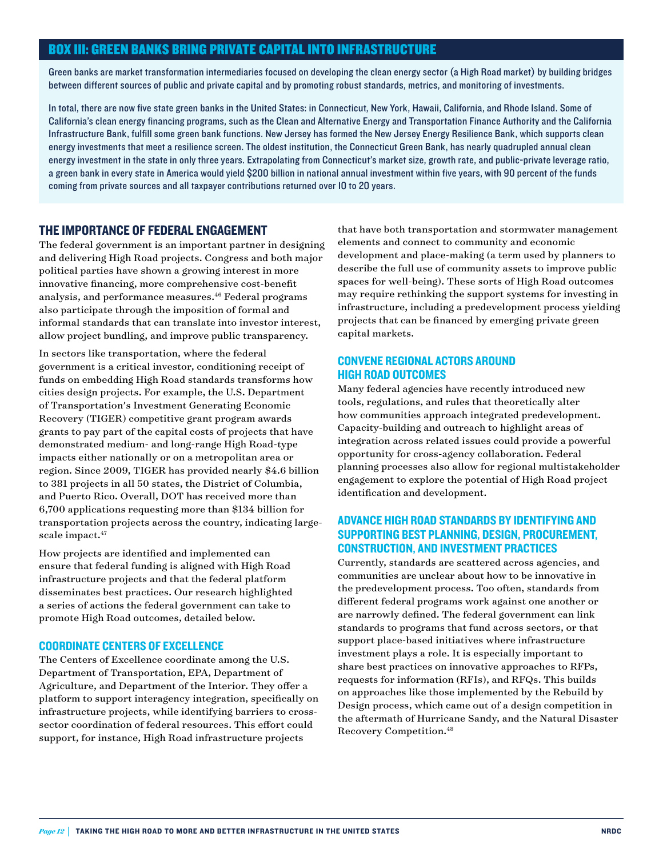#### BOX III: GREEN BANKS BRING PRIVATE CAPITAL INTO INFRASTRUCTURE

Green banks are market transformation intermediaries focused on developing the clean energy sector (a High Road market) by building bridges between different sources of public and private capital and by promoting robust standards, metrics, and monitoring of investments.

In total, there are now five state green banks in the United States: in Connecticut, New York, Hawaii, California, and Rhode Island. Some of California's clean energy financing programs, such as the Clean and Alternative Energy and Transportation Finance Authority and the California Infrastructure Bank, fulfill some green bank functions. New Jersey has formed the New Jersey Energy Resilience Bank, which supports clean energy investments that meet a resilience screen. The oldest institution, the Connecticut Green Bank, has nearly quadrupled annual clean energy investment in the state in only three years. Extrapolating from Connecticut's market size, growth rate, and public-private leverage ratio, a green bank in every state in America would yield \$200 billion in national annual investment within five years, with 90 percent of the funds coming from private sources and all taxpayer contributions returned over 10 to 20 years.

#### THE IMPORTANCE OF FEDERAL ENGAGEMENT

The federal government is an important partner in designing and delivering High Road projects. Congress and both major political parties have shown a growing interest in more innovative financing, more comprehensive cost-benefit analysis, and performance measures.<sup>46</sup> Federal programs also participate through the imposition of formal and informal standards that can translate into investor interest, allow project bundling, and improve public transparency.

In sectors like transportation, where the federal government is a critical investor, conditioning receipt of funds on embedding High Road standards transforms how cities design projects. For example, the U.S. Department of Transportation's Investment Generating Economic Recovery (TIGER) competitive grant program awards grants to pay part of the capital costs of projects that have demonstrated medium- and long-range High Road-type impacts either nationally or on a metropolitan area or region. Since 2009, TIGER has provided nearly \$4.6 billion to 381 projects in all 50 states, the District of Columbia, and Puerto Rico. Overall, DOT has received more than 6,700 applications requesting more than \$134 billion for transportation projects across the country, indicating largescale impact.<sup>47</sup>

How projects are identified and implemented can ensure that federal funding is aligned with High Road infrastructure projects and that the federal platform disseminates best practices. Our research highlighted a series of actions the federal government can take to promote High Road outcomes, detailed below.

#### COORDINATE CENTERS OF EXCELLENCE

The Centers of Excellence coordinate among the U.S. Department of Transportation, EPA, Department of Agriculture, and Department of the Interior. They offer a platform to support interagency integration, specifically on infrastructure projects, while identifying barriers to crosssector coordination of federal resources. This effort could support, for instance, High Road infrastructure projects

that have both transportation and stormwater management elements and connect to community and economic development and place-making (a term used by planners to describe the full use of community assets to improve public spaces for well-being). These sorts of High Road outcomes may require rethinking the support systems for investing in infrastructure, including a predevelopment process yielding projects that can be financed by emerging private green capital markets.

#### CONVENE REGIONAL ACTORS AROUND HIGH ROAD OUTCOMES

Many federal agencies have recently introduced new tools, regulations, and rules that theoretically alter how communities approach integrated predevelopment. Capacity-building and outreach to highlight areas of integration across related issues could provide a powerful opportunity for cross-agency collaboration. Federal planning processes also allow for regional multistakeholder engagement to explore the potential of High Road project identification and development.

#### ADVANCE HIGH ROAD STANDARDS BY IDENTIFYING AND SUPPORTING BEST PLANNING, DESIGN, PROCUREMENT, CONSTRUCTION, AND INVESTMENT PRACTICES

Currently, standards are scattered across agencies, and communities are unclear about how to be innovative in the predevelopment process. Too often, standards from different federal programs work against one another or are narrowly defined. The federal government can link standards to programs that fund across sectors, or that support place-based initiatives where infrastructure investment plays a role. It is especially important to share best practices on innovative approaches to RFPs, requests for information (RFIs), and RFQs. This builds on approaches like those implemented by the Rebuild by Design process, which came out of a design competition in the aftermath of Hurricane Sandy, and the Natural Disaster Recovery Competition.48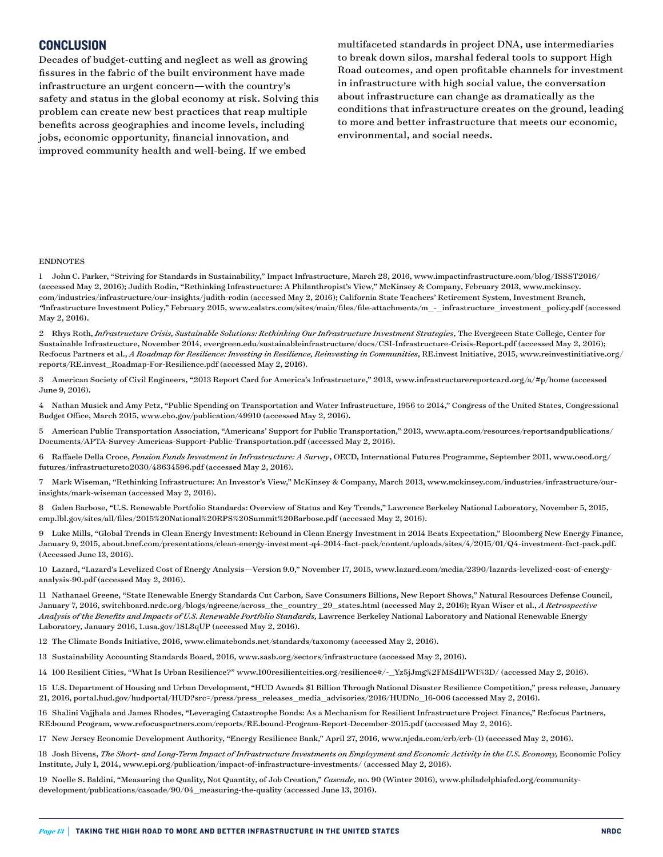#### CONCLUSION

Decades of budget-cutting and neglect as well as growing fissures in the fabric of the built environment have made infrastructure an urgent concern—with the country's safety and status in the global economy at risk. Solving this problem can create new best practices that reap multiple benefits across geographies and income levels, including jobs, economic opportunity, financial innovation, and improved community health and well-being. If we embed

multifaceted standards in project DNA, use intermediaries to break down silos, marshal federal tools to support High Road outcomes, and open profitable channels for investment in infrastructure with high social value, the conversation about infrastructure can change as dramatically as the conditions that infrastructure creates on the ground, leading to more and better infrastructure that meets our economic, environmental, and social needs.

#### ENDNOTES

1 John C. Parker, "Striving for Standards in Sustainability," Impact Infrastructure, March 28, 2016, [www.impactinfrastructure.com/blog/ISSST2016/](http://www.impactinfrastructure.com/blog/ISSST2016/) (accessed May 2, 2016); Judith Rodin, "Rethinking Infrastructure: A Philanthropist's View," McKinsey & Company, February 2013, [www.mckinsey.](http://www.mckinsey.com/industries/infrastructure/our-insights/judith-rodin) [com/industries/infrastructure/our-insights/judith-rodin](http://www.mckinsey.com/industries/infrastructure/our-insights/judith-rodin) (accessed May 2, 2016); California State Teachers' Retirement System, Investment Branch, *"*Infrastructure Investment Policy," February 2015, [www.calstrs.com/sites/main/files/file-attachments/m\\_-\\_infrastructure\\_investment\\_policy.pdf](http://www.calstrs.com/sites/main/files/file-attachments/m_-_infrastructure_investment_policy.pdf) (accessed May 2, 2016).

2 Rhys Roth, *Infrastructure Crisis, Sustainable Solutions: Rethinking Our Infrastructure Investment Strategies*, The Evergreen State College, Center for Sustainable Infrastructure, November 2014, [evergreen.edu/sustainableinfrastructure/docs/CSI-Infrastructure-Crisis-Report.pdf](http://evergreen.edu/sustainableinfrastructure/docs/CSI-Infrastructure-Crisis-Report.pdf) (accessed May 2, 2016); Re:focus Partners et al., *A Roadmap for Resilience: Investing in Resilience, Reinvesting in Communities*, RE.invest Initiative, 2015, [www.reinvestinitiative.org/](http://www.reinvestinitiative.org/reports/RE.invest_Roadmap-For-Resilience.pdf) [reports/RE.invest\\_Roadmap-For-Resilience.pdf](http://www.reinvestinitiative.org/reports/RE.invest_Roadmap-For-Resilience.pdf) (accessed May 2, 2016).

3 American Society of Civil Engineers, "2013 Report Card for America's Infrastructure," 2013, [www.infrastructurereportcard.org/a/#p/home](http://www.infrastructurereportcard.org/a/#p/home) (accessed June 9, 2016).

4 Nathan Musick and Amy Petz, "Public Spending on Transportation and Water Infrastructure, 1956 to 2014," Congress of the United States, Congressional Budget Office, March 2015, [www.cbo.gov/publication/49910](http://www.cbo.gov/publication/49910) (accessed May 2, 2016).

5 American Public Transportation Association, "Americans' Support for Public Transportation," 2013, [www.apta.com/resources/reportsandpublications/](http://www.apta.com/resources/reportsandpublications/Documents/APTA-Survey-Americas-Support-Public-Transportation.pdf) [Documents/APTA-Survey-Americas-Support-Public-Transportation.pdf](http://www.apta.com/resources/reportsandpublications/Documents/APTA-Survey-Americas-Support-Public-Transportation.pdf) (accessed May 2, 2016).

6 Raffaele Della Croce, *Pension Funds Investment in Infrastructure: A Survey*, OECD, International Futures Programme, September 2011, [www.oecd.org/](http://www.oecd.org/futures/infrastructureto2030/48634596.pdf) [futures/infrastructureto2030/48634596.pdf](http://www.oecd.org/futures/infrastructureto2030/48634596.pdf) (accessed May 2, 2016).

7 Mark Wiseman, "Rethinking Infrastructure: An Investor's View," McKinsey & Company, March 2013, [www.mckinsey.com/industries/infrastructure/our](http://www.mckinsey.com/industries/infrastructure/our-insights/mark-wiseman)[insights/mark-wiseman](http://www.mckinsey.com/industries/infrastructure/our-insights/mark-wiseman) (accessed May 2, 2016).

8 Galen Barbose, "U.S. Renewable Portfolio Standards: Overview of Status and Key Trends," Lawrence Berkeley National Laboratory, November 5, 2015, emp.lbl.gov/sites/all/files/2015%20National%20RPS%20Summit%20Barbose.pdf (accessed May 2, 2016).

9 Luke Mills, "Global Trends in Clean Energy Investment: Rebound in Clean Energy Investment in 2014 Beats Expectation," Bloomberg New Energy Finance, January 9, 2015, [about.bnef.com/presentations/clean-energy-investment-q4-2014-fact-pack/content/uploads/sites/4/2015/01/Q4-investment-fact-pack.pdf](http://about.bnef.com/presentations/clean-energy-investment-q4-2014-fact-pack/content/uploads/sites/4/2015/01/Q4-investment-fact-pack.pdf). (Accessed June 13, 2016).

10 Lazard, "Lazard's Levelized Cost of Energy Analysis—Version 9.0," November 17, 2015, [www.lazard.com/media/2390/lazards-levelized-cost-of-energy](http://www.lazard.com/media/2390/lazards-levelized-cost-of-energy-analysis-90.pdf)[analysis-90.pdf](http://www.lazard.com/media/2390/lazards-levelized-cost-of-energy-analysis-90.pdf) (accessed May 2, 2016).

11 Nathanael Greene, "State Renewable Energy Standards Cut Carbon, Save Consumers Billions, New Report Shows," Natural Resources Defense Council, January 7, 2016, [switchboard.nrdc.org/blogs/ngreene/across\\_the\\_country\\_29\\_states.html](http://switchboard.nrdc.org/blogs/ngreene/across_the_country_29_states.html) (accessed May 2, 2016); Ryan Wiser et al., *A Retrospective Analysis of the Benefits and Impacts of U.S. Renewable Portfolio Standards,* Lawrence Berkeley National Laboratory and National Renewable Energy Laboratory, January 2016, [1.usa.gov/1SL8qUP](http://1.usa.gov/1SL8qUP) (accessed May 2, 2016).

12 The Climate Bonds Initiative, 2016, www.climatebonds.net/standards/taxonomy (accessed May 2, 2016).

13 Sustainability Accounting Standards Board, 2016, www.sasb.org/sectors/infrastructure (accessed May 2, 2016).

14 100 Resilient Cities, "What Is Urban Resilience?" [www.100resilientcities.org/resilience#/-\\_Yz5jJmg%2FMSd1PWI%3D/](http://www.100resilientcities.org/resilience#/-_Yz5jJmg%252FMSd1PWI%253D/) (accessed May 2, 2016).

15 U.S. Department of Housing and Urban Development, "HUD Awards \$1 Billion Through National Disaster Resilience Competition," press release, January 21, 2016, [portal.hud.gov/hudportal/HUD?src=/press/press\\_releases\\_media\\_advisories/2016/HUDNo\\_16-006](http://portal.hud.gov/hudportal/HUD?src=/press/press_releases_media_advisories/2016/HUDNo_16-006) (accessed May 2, 2016).

16 Shalini Vajjhala and James Rhodes, "Leveraging Catastrophe Bonds: As a Mechanism for Resilient Infrastructure Project Finance," Re:focus Partners, RE:bound Program, [www.refocuspartners.com/reports/RE.bound-Program-Report-December-2015.pdf](http://www.refocuspartners.com/reports/RE.bound-Program-Report-December-2015.pdf) (accessed May 2, 2016).

17 New Jersey Economic Development Authority, "Energy Resilience Bank," April 27, 2016, [www.njeda.com/erb/erb-\(1\)](http://www.njeda.com/erb/erb-(1)) (accessed May 2, 2016).

18 Josh Bivens, *The Short- and Long-Term Impact of Infrastructure Investments on Employment and Economic Activity in the U.S. Economy, Economic Policy* Institute, July 1, 2014, [www.epi.org/publication/impact-of-infrastructure-investments/](http://www.epi.org/publication/impact-of-infrastructure-investments/) (accessed May 2, 2016).

19 Noelle S. Baldini, "Measuring the Quality, Not Quantity, of Job Creation," *Cascade,* no. 90 (Winter 2016), [www.philadelphiafed.org/community](http://www.philadelphiafed.org/community-development/publications/cascade/90/04_measuring-the-quality)[development/publications/cascade/90/04\\_measuring-the-quality](http://www.philadelphiafed.org/community-development/publications/cascade/90/04_measuring-the-quality) (accessed June 13, 2016).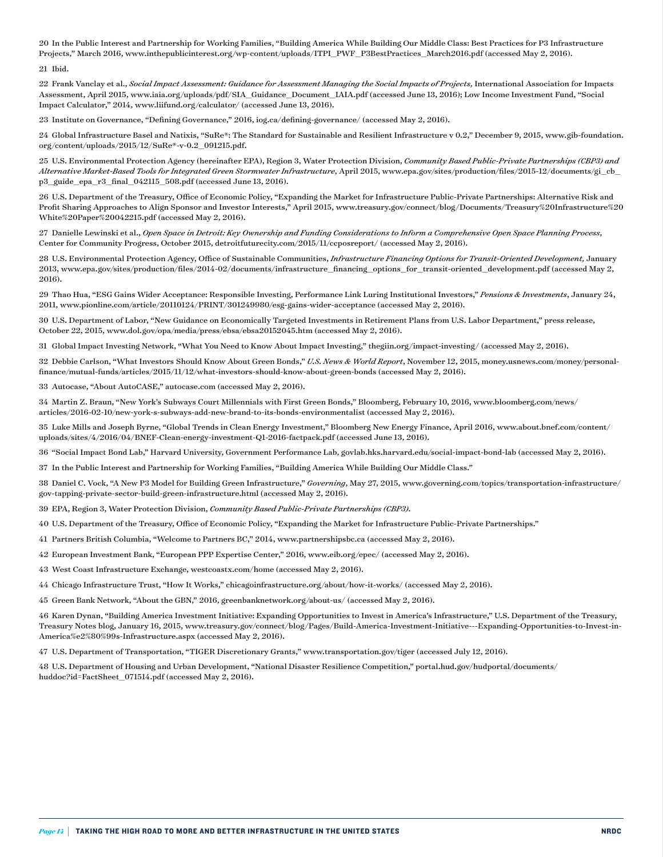20 In the Public Interest and Partnership for Working Families, "Building America While Building Our Middle Class: Best Practices for P3 Infrastructure Projects," March 2016, [www.inthepublicinterest.org/wp-content/uploads/ITPI\\_PWF\\_P3BestPractices\\_March2016.pdf](http://www.inthepublicinterest.org/wp-content/uploads/ITPI_PWF_P3BestPractices_March2016.pdf) (accessed May 2, 2016).

#### 21 Ibid.

22 Frank Vanclay et al., *Social Impact Assessment: Guidance for Assessment Managing the Social Impacts of Projects*, International Association for Impacts Assessment, April 2015, [www.iaia.org/uploads/pdf/SIA\\_Guidance\\_Document\\_IAIA.pdf](http://www.iaia.org/uploads/pdf/SIA_Guidance_Document_IAIA.pdf) (accessed June 13, 2016); Low Income Investment Fund, "Social Impact Calculator," 2014, [www.liifund.org/calculator/](http://www.liifund.org/calculator/) (accessed June 13, 2016).

23 Institute on Governance, "Defining Governance," 2016, [iog.ca/defining-governance/](http://iog.ca/defining-governance/) (accessed May 2, 2016).

24 Global Infrastructure Basel and Natixis, "SuRe®: The Standard for Sustainable and Resilient Infrastructure v 0.2," December 9, 2015, www.gib-foundation. org/content/uploads/2015/12/SuRe®-v-0.2\_091215.pdf.

25 U.S. Environmental Protection Agency (hereinafter EPA), Region 3, Water Protection Division, *Community Based Public-Private Partnerships (CBP3) and Alternative Market-Based Tools for Integrated Green Stormwater Infrastructure*, April 2015, [www.epa.gov/sites/production/files/2015-12/documents/gi\\_cb\\_](http://www.epa.gov/sites/production/files/2015-12/documents/gi_cb_p3_guide_epa_r3_final_042115_508.pdf) [p3\\_guide\\_epa\\_r3\\_final\\_042115\\_508.pdf](http://www.epa.gov/sites/production/files/2015-12/documents/gi_cb_p3_guide_epa_r3_final_042115_508.pdf) (accessed June 13, 2016).

26 U.S. Department of the Treasury, Office of Economic Policy, "Expanding the Market for Infrastructure Public-Private Partnerships: Alternative Risk and Profit Sharing Approaches to Align Sponsor and Investor Interests," April 2015, [www.treasury.gov/connect/blog/Documents/Treasury%20Infrastructure%20](http://www.treasury.gov/connect/blog/Documents/Treasury%2520Infrastructure%2520White%2520Paper%2520042215.pdf) [White%20Paper%20042215.pdf](http://www.treasury.gov/connect/blog/Documents/Treasury%2520Infrastructure%2520White%2520Paper%2520042215.pdf) (accessed May 2, 2016).

27 Danielle Lewinski et al., *Open Space in Detroit: Key Ownership and Funding Considerations to Inform a Comprehensive Open Space Planning Process*, Center for Community Progress, October 2015, detroitfuturecity.com/2015/11/ccposreport/ (accessed May 2, 2016).

28 U.S. Environmental Protection Agency, Office of Sustainable Communities, *Infrastructure Financing Options for Transit-Oriented Development,* January 2013, [www.epa.gov/sites/production/files/2014-02/documents/infrastructure\\_financing\\_options\\_for\\_transit-oriented\\_development.pdf](http://www.epa.gov/sites/production/files/2014-02/documents/infrastructure_financing_options_for_transit-oriented_development.pdf) (accessed May 2, 2016).

29 Thao Hua, "ESG Gains Wider Acceptance: Responsible Investing, Performance Link Luring Institutional Investors," *Pensions & Investments*, January 24, 2011, [www.pionline.com/article/20110124/PRINT/301249980/esg-gains-wider-acceptance](http://www.pionline.com/article/20110124/PRINT/301249980/esg-gains-wider-acceptance) (accessed May 2, 2016).

30 U.S. Department of Labor, "New Guidance on Economically Targeted Investments in Retirement Plans from U.S. Labor Department," press release, October 22, 2015, [www.dol.gov/opa/media/press/ebsa/ebsa20152045.htm](http://www.dol.gov/opa/media/press/ebsa/ebsa20152045.htm) (accessed May 2, 2016).

31 Global Impact Investing Network, "What You Need to Know About Impact Investing," thegiin.org/impact-investing/ (accessed May 2, 2016).

32 Debbie Carlson, "What Investors Should Know About Green Bonds," *U.S. News & World Report*, November 12, 2015, money.usnews.com/money/personalfinance/mutual-funds/articles/2015/11/12/what-investors-should-know-about-green-bonds (accessed May 2, 2016).

33 Autocase, "About AutoCASE," autocase.com (accessed May 2, 2016).

34 Martin Z. Braun, "New York's Subways Court Millennials with First Green Bonds," Bloomberg, February 10, 2016, [www.bloomberg.com/news/](http://www.bloomberg.com/news/articles/2016-02-10/new-york-s-subways-add-new-brand-to-its-bonds-environmentalist) [articles/2016-02-10/new-york-s-subways-add-new-brand-to-its-bonds-environmentalist](http://www.bloomberg.com/news/articles/2016-02-10/new-york-s-subways-add-new-brand-to-its-bonds-environmentalist) (accessed May 2, 2016).

35 Luke Mills and Joseph Byrne, "Global Trends in Clean Energy Investment," Bloomberg New Energy Finance, April 2016, www.[about.bnef.com/content/](http://about.bnef.com/content/uploads/sites/4/2016/04/BNEF-Clean-energy-investment-Q1-2016-factpack.pdf) [uploads/sites/4/2016/04/BNEF-Clean-energy-investment-Q1-2016-factpack.pdf](http://about.bnef.com/content/uploads/sites/4/2016/04/BNEF-Clean-energy-investment-Q1-2016-factpack.pdf) (accessed June 13, 2016).

36 "Social Impact Bond Lab," Harvard University, Government Performance Lab, govlab.hks.harvard.edu/social-impact-bond-lab (accessed May 2, 2016).

37 In the Public Interest and Partnership for Working Families, "Building America While Building Our Middle Class."

38 Daniel C. Vock, "A New P3 Model for Building Green Infrastructure," *Governing*, May 27, 2015, [www.governing.com/topics/transportation-infrastructure/](http://www.governing.com/topics/transportation-infrastructure/gov-tapping-private-sector-build-green-infrastructure.html) [gov-tapping-private-sector-build-green-infrastructure.html](http://www.governing.com/topics/transportation-infrastructure/gov-tapping-private-sector-build-green-infrastructure.html) (accessed May 2, 2016).

39 EPA, Region 3, Water Protection Division, *Community Based Public-Private Partnerships (CBP3)*.

40 U.S. Department of the Treasury, Office of Economic Policy, "Expanding the Market for Infrastructure Public-Private Partnerships."

41 Partners British Columbia, "Welcome to Partners BC," 2014, [www.partnershipsbc.ca](http://www.partnershipsbc.ca) (accessed May 2, 2016).

42 European Investment Bank, "European PPP Expertise Center," 2016, [www.eib.org/epec/](http://www.eib.org/epec/) (accessed May 2, 2016).

43 West Coast Infrastructure Exchange, westcoastx.com/home (accessed May 2, 2016).

44 Chicago Infrastructure Trust, "How It Works," chicagoinfrastructure.org/about/how-it-works/ (accessed May 2, 2016).

45 Green Bank Network, "About the GBN," 2016, greenbanknetwork.org/about-us/ (accessed May 2, 2016).

46 Karen Dynan, "Building America Investment Initiative: Expanding Opportunities to Invest in America's Infrastructure," U.S. Department of the Treasury, Treasury Notes blog, January 16, 2015, [www.treasury.gov/connect/blog/Pages/Build-America-Investment-Initiative---Expanding-Opportunities-to-Invest-in-](http://www.treasury.gov/connect/blog/Pages/Build-America-Investment-Initiative---Expanding-Opportunities-to-Invest-in-America%25e2%2580%2599s-Infrastructure.aspx)[America%e2%80%99s-Infrastructure.aspx](http://www.treasury.gov/connect/blog/Pages/Build-America-Investment-Initiative---Expanding-Opportunities-to-Invest-in-America%25e2%2580%2599s-Infrastructure.aspx) (accessed May 2, 2016).

47 U.S. Department of Transportation, "TIGER Discretionary Grants," www.transportation.gov/tiger (accessed July 12, 2016).

48 U.S. Department of Housing and Urban Development, "National Disaster Resilience Competition," portal.hud.gov/hudportal/documents/ huddoc?id=FactSheet\_071514.pdf (accessed May 2, 2016).